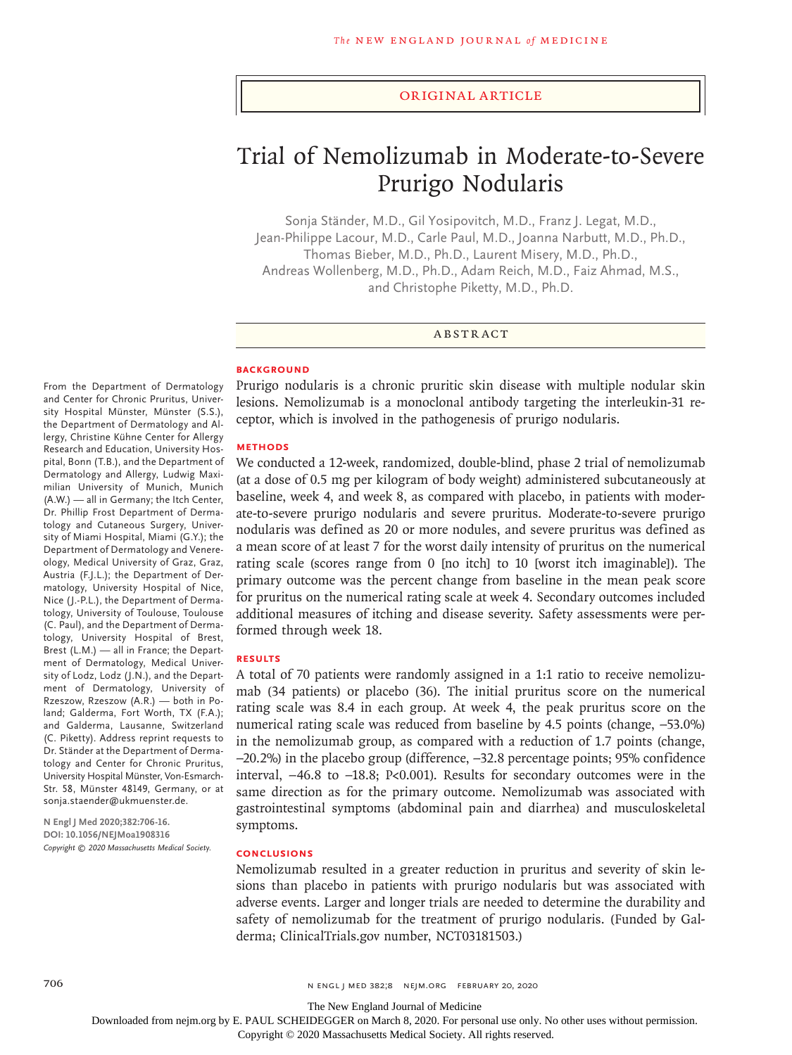#### Original Article

# Trial of Nemolizumab in Moderate-to-Severe Prurigo Nodularis

Sonja Ständer, M.D., Gil Yosipovitch, M.D., Franz J. Legat, M.D., Jean-Philippe Lacour, M.D., Carle Paul, M.D., Joanna Narbutt, M.D., Ph.D., Thomas Bieber, M.D., Ph.D., Laurent Misery, M.D., Ph.D., Andreas Wollenberg, M.D., Ph.D., Adam Reich, M.D., Faiz Ahmad, M.S., and Christophe Piketty, M.D., Ph.D.

#### ABSTRACT

# **BACKGROUND**

From the Department of Dermatology and Center for Chronic Pruritus, University Hospital Münster, Münster (S.S.), the Department of Dermatology and Allergy, Christine Kühne Center for Allergy Research and Education, University Hospital, Bonn (T.B.), and the Department of Dermatology and Allergy, Ludwig Maximilian University of Munich, Munich (A.W.) — all in Germany; the Itch Center, Dr. Phillip Frost Department of Dermatology and Cutaneous Surgery, University of Miami Hospital, Miami (G.Y.); the Department of Dermatology and Venereology, Medical University of Graz, Graz, Austria (F.J.L.); the Department of Dermatology, University Hospital of Nice, Nice (J.-P.L.), the Department of Dermatology, University of Toulouse, Toulouse (C. Paul), and the Department of Dermatology, University Hospital of Brest, Brest (L.M.) — all in France; the Department of Dermatology, Medical University of Lodz, Lodz (J.N.), and the Department of Dermatology, University of Rzeszow, Rzeszow (A.R.) — both in Poland; Galderma, Fort Worth, TX (F.A.); and Galderma, Lausanne, Switzerland (C. Piketty). Address reprint requests to Dr. Ständer at the Department of Dermatology and Center for Chronic Pruritus, University Hospital Münster, Von-Esmarch-Str. 58, Münster 48149, Germany, or at sonja.staender@ukmuenster.de.

**N Engl J Med 2020;382:706-16. DOI: 10.1056/NEJMoa1908316** *Copyright © 2020 Massachusetts Medical Society.* Prurigo nodularis is a chronic pruritic skin disease with multiple nodular skin lesions. Nemolizumab is a monoclonal antibody targeting the interleukin-31 receptor, which is involved in the pathogenesis of prurigo nodularis.

## **METHODS**

We conducted a 12-week, randomized, double-blind, phase 2 trial of nemolizumab (at a dose of 0.5 mg per kilogram of body weight) administered subcutaneously at baseline, week 4, and week 8, as compared with placebo, in patients with moderate-to-severe prurigo nodularis and severe pruritus. Moderate-to-severe prurigo nodularis was defined as 20 or more nodules, and severe pruritus was defined as a mean score of at least 7 for the worst daily intensity of pruritus on the numerical rating scale (scores range from 0 [no itch] to 10 [worst itch imaginable]). The primary outcome was the percent change from baseline in the mean peak score for pruritus on the numerical rating scale at week 4. Secondary outcomes included additional measures of itching and disease severity. Safety assessments were performed through week 18.

## **RESULTS**

A total of 70 patients were randomly assigned in a 1:1 ratio to receive nemolizumab (34 patients) or placebo (36). The initial pruritus score on the numerical rating scale was 8.4 in each group. At week 4, the peak pruritus score on the numerical rating scale was reduced from baseline by 4.5 points (change, −53.0%) in the nemolizumab group, as compared with a reduction of 1.7 points (change, −20.2%) in the placebo group (difference, −32.8 percentage points; 95% confidence interval, −46.8 to −18.8; P<0.001). Results for secondary outcomes were in the same direction as for the primary outcome. Nemolizumab was associated with gastrointestinal symptoms (abdominal pain and diarrhea) and musculoskeletal symptoms.

## **CONCLUSIONS**

Nemolizumab resulted in a greater reduction in pruritus and severity of skin lesions than placebo in patients with prurigo nodularis but was associated with adverse events. Larger and longer trials are needed to determine the durability and safety of nemolizumab for the treatment of prurigo nodularis. (Funded by Galderma; ClinicalTrials.gov number, NCT03181503.)

706 n engl j med 382;8 nejm.org February 20, 2020

The New England Journal of Medicine

Downloaded from nejm.org by E. PAUL SCHEIDEGGER on March 8, 2020. For personal use only. No other uses without permission.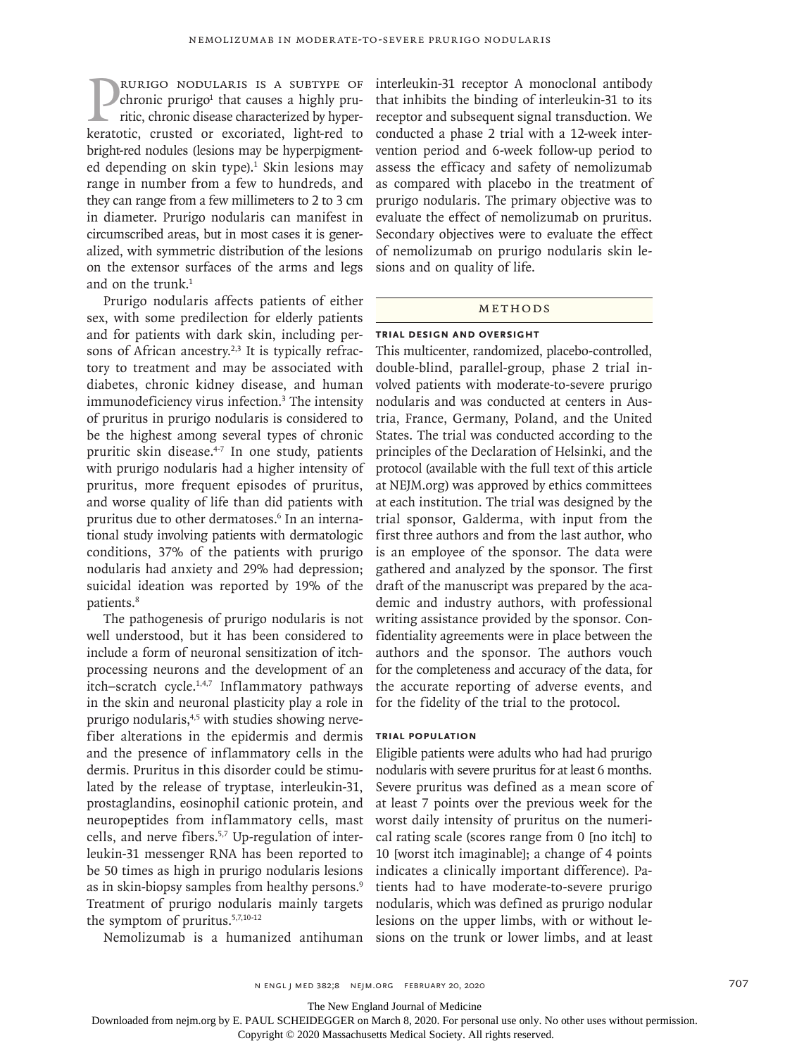**PERENCE OF SCHOUGE SERVICE OF SCHOOLS**<br>
chronic prurigo<sup>1</sup> that causes a highly pruritic, chronic disease characterized by hyper-<br>
keratotic, crusted or excoriated, light-red to rurigo nodularis is a subtype of chronic prurigo<sup>1</sup> that causes a highly pruritic, chronic disease characterized by hyperbright-red nodules (lesions may be hyperpigmented depending on skin type).<sup>1</sup> Skin lesions may range in number from a few to hundreds, and they can range from a few millimeters to 2 to 3 cm in diameter. Prurigo nodularis can manifest in circumscribed areas, but in most cases it is generalized, with symmetric distribution of the lesions on the extensor surfaces of the arms and legs and on the trunk. $<sup>1</sup>$ </sup>

Prurigo nodularis affects patients of either sex, with some predilection for elderly patients and for patients with dark skin, including persons of African ancestry.<sup>2,3</sup> It is typically refractory to treatment and may be associated with diabetes, chronic kidney disease, and human immunodeficiency virus infection.3 The intensity of pruritus in prurigo nodularis is considered to be the highest among several types of chronic pruritic skin disease.<sup>4-7</sup> In one study, patients with prurigo nodularis had a higher intensity of pruritus, more frequent episodes of pruritus, and worse quality of life than did patients with pruritus due to other dermatoses.<sup>6</sup> In an international study involving patients with dermatologic conditions, 37% of the patients with prurigo nodularis had anxiety and 29% had depression; suicidal ideation was reported by 19% of the patients.<sup>8</sup>

The pathogenesis of prurigo nodularis is not well understood, but it has been considered to include a form of neuronal sensitization of itchprocessing neurons and the development of an itch–scratch cycle.1,4,7 Inflammatory pathways in the skin and neuronal plasticity play a role in prurigo nodularis,<sup>4,5</sup> with studies showing nervefiber alterations in the epidermis and dermis and the presence of inflammatory cells in the dermis. Pruritus in this disorder could be stimulated by the release of tryptase, interleukin-31, prostaglandins, eosinophil cationic protein, and neuropeptides from inflammatory cells, mast cells, and nerve fibers.<sup>5,7</sup> Up-regulation of interleukin-31 messenger RNA has been reported to be 50 times as high in prurigo nodularis lesions as in skin-biopsy samples from healthy persons.<sup>9</sup> Treatment of prurigo nodularis mainly targets the symptom of pruritus.5,7,10-12

interleukin-31 receptor A monoclonal antibody that inhibits the binding of interleukin-31 to its receptor and subsequent signal transduction. We conducted a phase 2 trial with a 12-week intervention period and 6-week follow-up period to assess the efficacy and safety of nemolizumab as compared with placebo in the treatment of prurigo nodularis. The primary objective was to evaluate the effect of nemolizumab on pruritus. Secondary objectives were to evaluate the effect of nemolizumab on prurigo nodularis skin lesions and on quality of life.

#### Methods

## **Trial Design and Oversight**

This multicenter, randomized, placebo-controlled, double-blind, parallel-group, phase 2 trial involved patients with moderate-to-severe prurigo nodularis and was conducted at centers in Austria, France, Germany, Poland, and the United States. The trial was conducted according to the principles of the Declaration of Helsinki, and the protocol (available with the full text of this article at NEJM.org) was approved by ethics committees at each institution. The trial was designed by the trial sponsor, Galderma, with input from the first three authors and from the last author, who is an employee of the sponsor. The data were gathered and analyzed by the sponsor. The first draft of the manuscript was prepared by the academic and industry authors, with professional writing assistance provided by the sponsor. Confidentiality agreements were in place between the authors and the sponsor. The authors vouch for the completeness and accuracy of the data, for the accurate reporting of adverse events, and for the fidelity of the trial to the protocol.

# **Trial Population**

Eligible patients were adults who had had prurigo nodularis with severe pruritus for at least 6 months. Severe pruritus was defined as a mean score of at least 7 points over the previous week for the worst daily intensity of pruritus on the numerical rating scale (scores range from 0 [no itch] to 10 [worst itch imaginable]; a change of 4 points indicates a clinically important difference). Patients had to have moderate-to-severe prurigo nodularis, which was defined as prurigo nodular lesions on the upper limbs, with or without lesions on the trunk or lower limbs, and at least

Nemolizumab is a humanized antihuman

The New England Journal of Medicine

Downloaded from nejm.org by E. PAUL SCHEIDEGGER on March 8, 2020. For personal use only. No other uses without permission.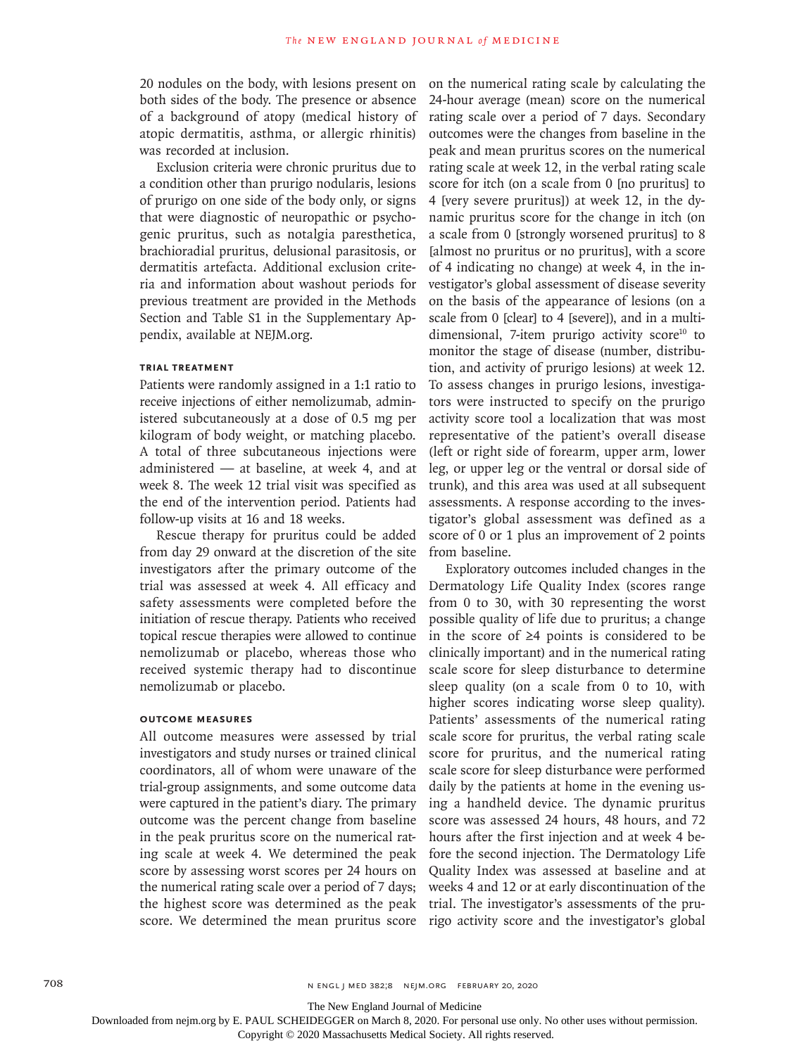20 nodules on the body, with lesions present on both sides of the body. The presence or absence of a background of atopy (medical history of atopic dermatitis, asthma, or allergic rhinitis) was recorded at inclusion.

Exclusion criteria were chronic pruritus due to a condition other than prurigo nodularis, lesions of prurigo on one side of the body only, or signs that were diagnostic of neuropathic or psychogenic pruritus, such as notalgia paresthetica, brachioradial pruritus, delusional parasitosis, or dermatitis artefacta. Additional exclusion criteria and information about washout periods for previous treatment are provided in the Methods Section and Table S1 in the Supplementary Appendix, available at NEJM.org.

# **Trial Treatment**

Patients were randomly assigned in a 1:1 ratio to receive injections of either nemolizumab, administered subcutaneously at a dose of 0.5 mg per kilogram of body weight, or matching placebo. A total of three subcutaneous injections were administered — at baseline, at week 4, and at week 8. The week 12 trial visit was specified as the end of the intervention period. Patients had follow-up visits at 16 and 18 weeks.

Rescue therapy for pruritus could be added from day 29 onward at the discretion of the site investigators after the primary outcome of the trial was assessed at week 4. All efficacy and safety assessments were completed before the initiation of rescue therapy. Patients who received topical rescue therapies were allowed to continue nemolizumab or placebo, whereas those who received systemic therapy had to discontinue nemolizumab or placebo.

# **Outcome Measures**

All outcome measures were assessed by trial investigators and study nurses or trained clinical coordinators, all of whom were unaware of the trial-group assignments, and some outcome data were captured in the patient's diary. The primary outcome was the percent change from baseline in the peak pruritus score on the numerical rating scale at week 4. We determined the peak score by assessing worst scores per 24 hours on the numerical rating scale over a period of 7 days; the highest score was determined as the peak score. We determined the mean pruritus score on the numerical rating scale by calculating the 24-hour average (mean) score on the numerical rating scale over a period of 7 days. Secondary outcomes were the changes from baseline in the peak and mean pruritus scores on the numerical rating scale at week 12, in the verbal rating scale score for itch (on a scale from 0 [no pruritus] to 4 [very severe pruritus]) at week 12, in the dynamic pruritus score for the change in itch (on a scale from 0 [strongly worsened pruritus] to 8 [almost no pruritus or no pruritus], with a score of 4 indicating no change) at week 4, in the investigator's global assessment of disease severity on the basis of the appearance of lesions (on a scale from 0 [clear] to 4 [severe]), and in a multidimensional, 7-item prurigo activity score $10$  to monitor the stage of disease (number, distribution, and activity of prurigo lesions) at week 12. To assess changes in prurigo lesions, investigators were instructed to specify on the prurigo activity score tool a localization that was most representative of the patient's overall disease (left or right side of forearm, upper arm, lower leg, or upper leg or the ventral or dorsal side of trunk), and this area was used at all subsequent assessments. A response according to the investigator's global assessment was defined as a score of 0 or 1 plus an improvement of 2 points from baseline.

Exploratory outcomes included changes in the Dermatology Life Quality Index (scores range from 0 to 30, with 30 representing the worst possible quality of life due to pruritus; a change in the score of ≥4 points is considered to be clinically important) and in the numerical rating scale score for sleep disturbance to determine sleep quality (on a scale from 0 to 10, with higher scores indicating worse sleep quality). Patients' assessments of the numerical rating scale score for pruritus, the verbal rating scale score for pruritus, and the numerical rating scale score for sleep disturbance were performed daily by the patients at home in the evening using a handheld device. The dynamic pruritus score was assessed 24 hours, 48 hours, and 72 hours after the first injection and at week 4 before the second injection. The Dermatology Life Quality Index was assessed at baseline and at weeks 4 and 12 or at early discontinuation of the trial. The investigator's assessments of the prurigo activity score and the investigator's global

The New England Journal of Medicine

Downloaded from nejm.org by E. PAUL SCHEIDEGGER on March 8, 2020. For personal use only. No other uses without permission.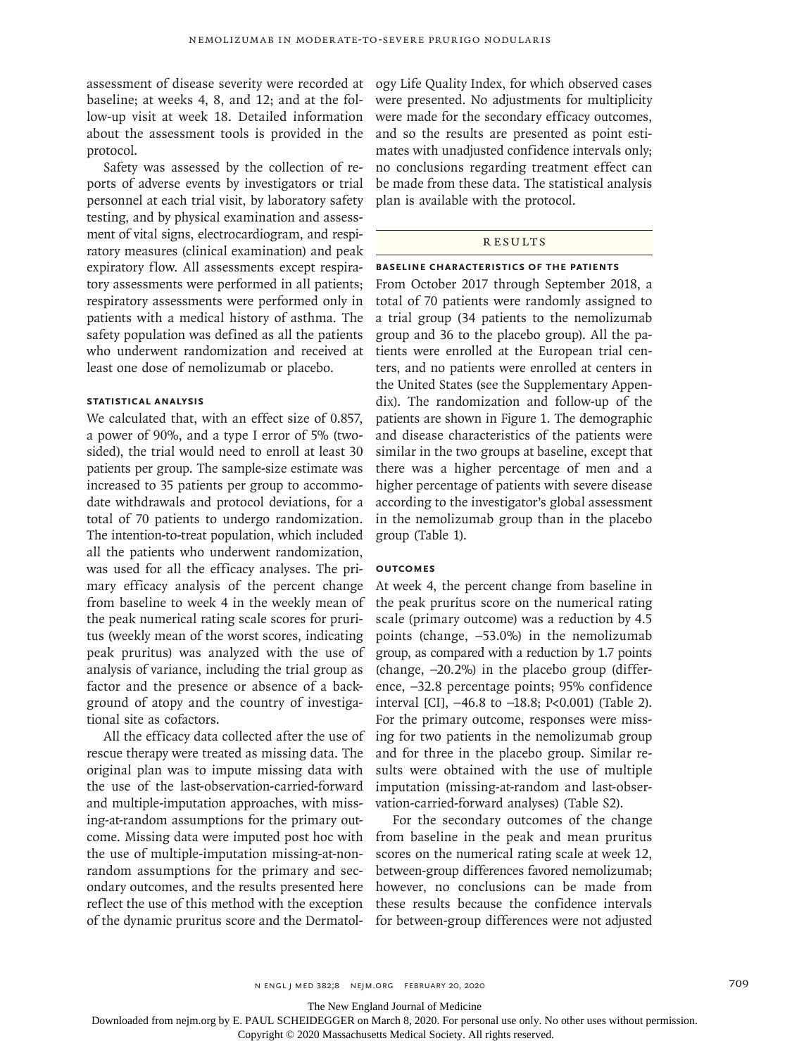assessment of disease severity were recorded at baseline; at weeks 4, 8, and 12; and at the follow-up visit at week 18. Detailed information about the assessment tools is provided in the protocol.

Safety was assessed by the collection of reports of adverse events by investigators or trial personnel at each trial visit, by laboratory safety testing, and by physical examination and assessment of vital signs, electrocardiogram, and respiratory measures (clinical examination) and peak expiratory flow. All assessments except respiratory assessments were performed in all patients; respiratory assessments were performed only in patients with a medical history of asthma. The safety population was defined as all the patients who underwent randomization and received at least one dose of nemolizumab or placebo.

# **Statistical Analysis**

We calculated that, with an effect size of 0.857, a power of 90%, and a type I error of 5% (twosided), the trial would need to enroll at least 30 patients per group. The sample-size estimate was increased to 35 patients per group to accommodate withdrawals and protocol deviations, for a total of 70 patients to undergo randomization. The intention-to-treat population, which included all the patients who underwent randomization, was used for all the efficacy analyses. The primary efficacy analysis of the percent change from baseline to week 4 in the weekly mean of the peak numerical rating scale scores for pruritus (weekly mean of the worst scores, indicating peak pruritus) was analyzed with the use of analysis of variance, including the trial group as factor and the presence or absence of a background of atopy and the country of investigational site as cofactors.

All the efficacy data collected after the use of rescue therapy were treated as missing data. The original plan was to impute missing data with the use of the last-observation-carried-forward and multiple-imputation approaches, with missing-at-random assumptions for the primary outcome. Missing data were imputed post hoc with the use of multiple-imputation missing-at-nonrandom assumptions for the primary and secondary outcomes, and the results presented here reflect the use of this method with the exception of the dynamic pruritus score and the Dermatology Life Quality Index, for which observed cases were presented. No adjustments for multiplicity were made for the secondary efficacy outcomes, and so the results are presented as point estimates with unadjusted confidence intervals only; no conclusions regarding treatment effect can be made from these data. The statistical analysis plan is available with the protocol.

# **RESULTS**

# **Baseline Characteristics of the Patients**

From October 2017 through September 2018, a total of 70 patients were randomly assigned to a trial group (34 patients to the nemolizumab group and 36 to the placebo group). All the patients were enrolled at the European trial centers, and no patients were enrolled at centers in the United States (see the Supplementary Appendix). The randomization and follow-up of the patients are shown in Figure 1. The demographic and disease characteristics of the patients were similar in the two groups at baseline, except that there was a higher percentage of men and a higher percentage of patients with severe disease according to the investigator's global assessment in the nemolizumab group than in the placebo group (Table 1).

### **Outcomes**

At week 4, the percent change from baseline in the peak pruritus score on the numerical rating scale (primary outcome) was a reduction by 4.5 points (change, −53.0%) in the nemolizumab group, as compared with a reduction by 1.7 points (change, −20.2%) in the placebo group (difference, −32.8 percentage points; 95% confidence interval [CI], −46.8 to −18.8; P<0.001) (Table 2). For the primary outcome, responses were missing for two patients in the nemolizumab group and for three in the placebo group. Similar results were obtained with the use of multiple imputation (missing-at-random and last-observation-carried-forward analyses) (Table S2).

For the secondary outcomes of the change from baseline in the peak and mean pruritus scores on the numerical rating scale at week 12, between-group differences favored nemolizumab; however, no conclusions can be made from these results because the confidence intervals for between-group differences were not adjusted

The New England Journal of Medicine

Downloaded from nejm.org by E. PAUL SCHEIDEGGER on March 8, 2020. For personal use only. No other uses without permission.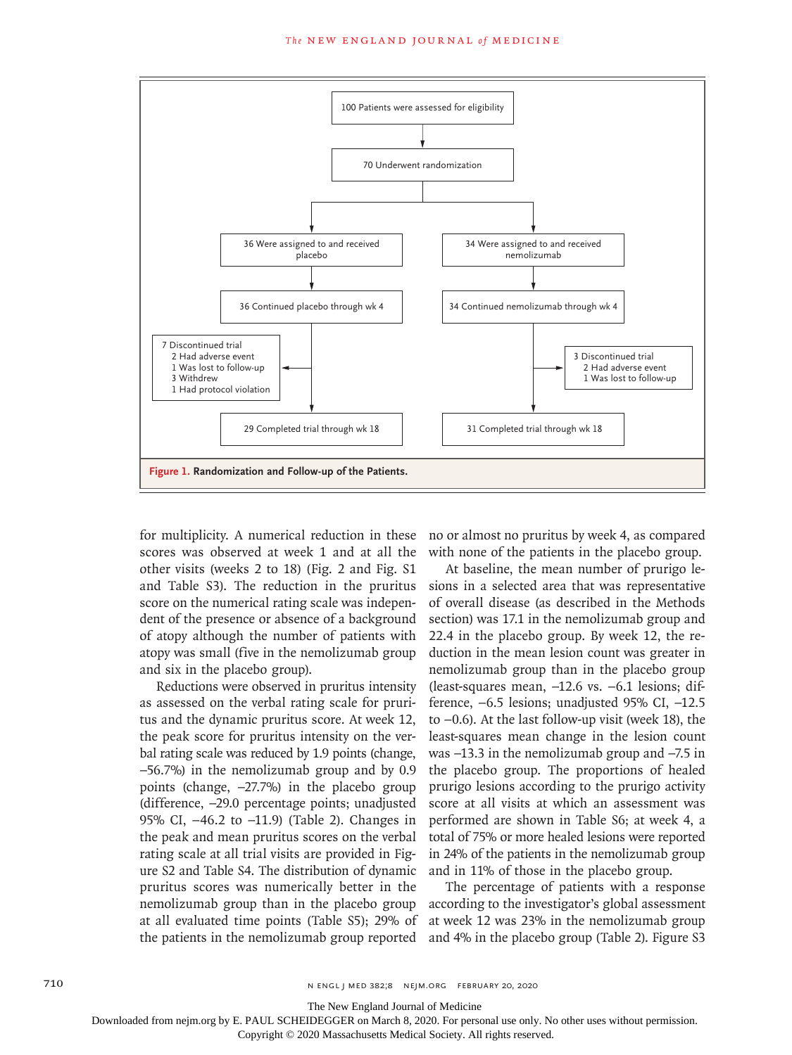

for multiplicity. A numerical reduction in these scores was observed at week 1 and at all the other visits (weeks 2 to 18) (Fig. 2 and Fig. S1 and Table S3). The reduction in the pruritus score on the numerical rating scale was independent of the presence or absence of a background of atopy although the number of patients with atopy was small (five in the nemolizumab group and six in the placebo group).

Reductions were observed in pruritus intensity as assessed on the verbal rating scale for pruritus and the dynamic pruritus score. At week 12, the peak score for pruritus intensity on the verbal rating scale was reduced by 1.9 points (change, −56.7%) in the nemolizumab group and by 0.9 points (change, −27.7%) in the placebo group (difference, −29.0 percentage points; unadjusted 95% CI, −46.2 to −11.9) (Table 2). Changes in the peak and mean pruritus scores on the verbal rating scale at all trial visits are provided in Figure S2 and Table S4. The distribution of dynamic pruritus scores was numerically better in the nemolizumab group than in the placebo group at all evaluated time points (Table S5); 29% of the patients in the nemolizumab group reported

no or almost no pruritus by week 4, as compared with none of the patients in the placebo group.

At baseline, the mean number of prurigo lesions in a selected area that was representative of overall disease (as described in the Methods section) was 17.1 in the nemolizumab group and 22.4 in the placebo group. By week 12, the reduction in the mean lesion count was greater in nemolizumab group than in the placebo group (least-squares mean, −12.6 vs. −6.1 lesions; difference, −6.5 lesions; unadjusted 95% CI, −12.5 to −0.6). At the last follow-up visit (week 18), the least-squares mean change in the lesion count was −13.3 in the nemolizumab group and −7.5 in the placebo group. The proportions of healed prurigo lesions according to the prurigo activity score at all visits at which an assessment was performed are shown in Table S6; at week 4, a total of 75% or more healed lesions were reported in 24% of the patients in the nemolizumab group and in 11% of those in the placebo group.

The percentage of patients with a response according to the investigator's global assessment at week 12 was 23% in the nemolizumab group and 4% in the placebo group (Table 2). Figure S3

710 n engl j med 382;8 nejm.org February 20, 2020

The New England Journal of Medicine

Downloaded from nejm.org by E. PAUL SCHEIDEGGER on March 8, 2020. For personal use only. No other uses without permission.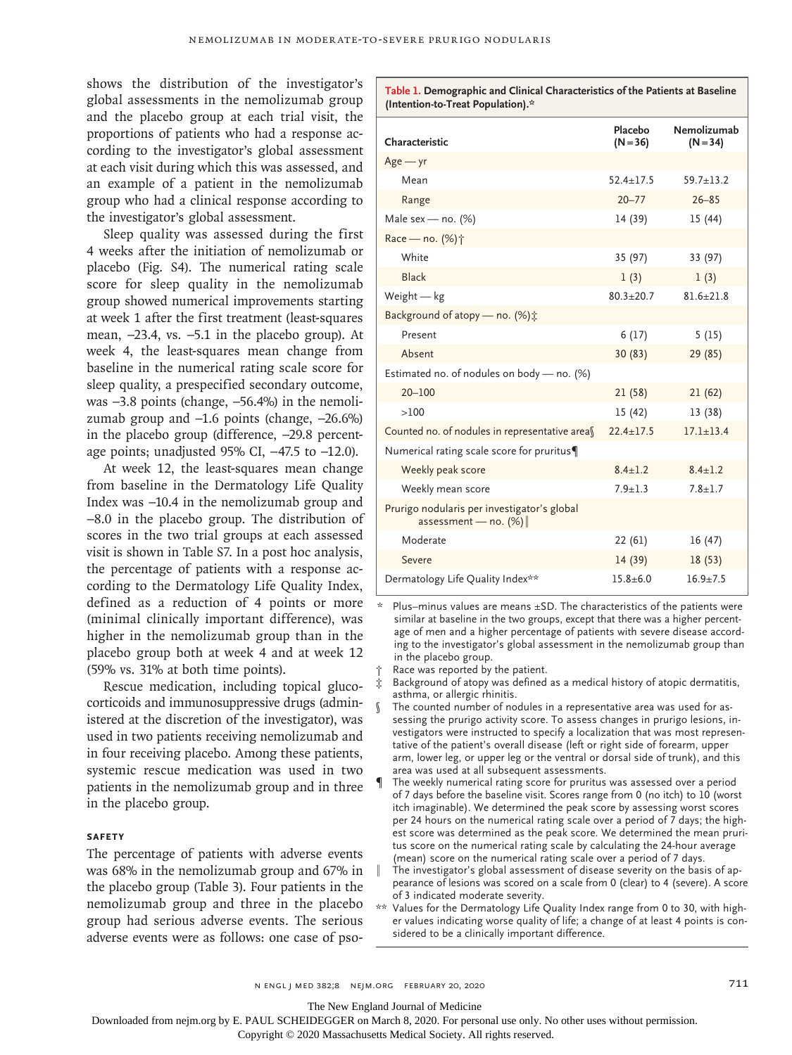shows the distribution of the investigator's global assessments in the nemolizumab group and the placebo group at each trial visit, the proportions of patients who had a response according to the investigator's global assessment at each visit during which this was assessed, and an example of a patient in the nemolizumab group who had a clinical response according to the investigator's global assessment.

Sleep quality was assessed during the first 4 weeks after the initiation of nemolizumab or placebo (Fig. S4). The numerical rating scale score for sleep quality in the nemolizumab group showed numerical improvements starting at week 1 after the first treatment (least-squares mean, −23.4, vs. −5.1 in the placebo group). At week 4, the least-squares mean change from baseline in the numerical rating scale score for sleep quality, a prespecified secondary outcome, was −3.8 points (change, −56.4%) in the nemolizumab group and −1.6 points (change, −26.6%) in the placebo group (difference, −29.8 percentage points; unadjusted 95% CI, −47.5 to −12.0).

At week 12, the least-squares mean change from baseline in the Dermatology Life Quality Index was −10.4 in the nemolizumab group and −8.0 in the placebo group. The distribution of scores in the two trial groups at each assessed visit is shown in Table S7. In a post hoc analysis, the percentage of patients with a response according to the Dermatology Life Quality Index, defined as a reduction of 4 points or more (minimal clinically important difference), was higher in the nemolizumab group than in the placebo group both at week 4 and at week 12 (59% vs. 31% at both time points).

Rescue medication, including topical glucocorticoids and immunosuppressive drugs (administered at the discretion of the investigator), was used in two patients receiving nemolizumab and in four receiving placebo. Among these patients, systemic rescue medication was used in two patients in the nemolizumab group and in three in the placebo group.

# **Safety**

The percentage of patients with adverse events was 68% in the nemolizumab group and 67% in the placebo group (Table 3). Four patients in the nemolizumab group and three in the placebo group had serious adverse events. The serious adverse events were as follows: one case of pso-

| (Intention-to-Treat Population).*                                      |                       |                           |
|------------------------------------------------------------------------|-----------------------|---------------------------|
| Characteristic                                                         | Placebo<br>$(N = 36)$ | Nemolizumab<br>$(N = 34)$ |
| $Age - yr$                                                             |                       |                           |
| Mean                                                                   | $52.4 \pm 17.5$       | $59.7 + 13.2$             |
| Range                                                                  | $20 - 77$             | $26 - 85$                 |
| Male sex - no. (%)                                                     | 14 (39)               | 15(44)                    |
| Race - no. (%) <sup>+</sup>                                            |                       |                           |
| White                                                                  | 35 (97)               | 33 (97)                   |
| Black                                                                  | 1(3)                  | 1(3)                      |
| Weight $-$ kg                                                          | $80.3 + 20.7$         | $81.6 + 21.8$             |
| Background of atopy - no. (%) :                                        |                       |                           |
| Present                                                                | 6(17)                 | 5(15)                     |
| Absent                                                                 | 30 (83)               | 29 (85)                   |
| Estimated no. of nodules on body $-$ no. (%)                           |                       |                           |
| $20 - 100$                                                             | 21(58)                | 21(62)                    |
| >100                                                                   | 15 (42)               | 13(38)                    |
| Counted no. of nodules in representative area                          | $22.4 \pm 17.5$       | $17.1 + 13.4$             |
| Numerical rating scale score for pruritus                              |                       |                           |
| Weekly peak score                                                      | $8.4 + 1.2$           | $8.4 + 1.2$               |
| Weekly mean score                                                      | $7.9 + 1.3$           | $7.8 + 1.7$               |
| Prurigo nodularis per investigator's global<br>assessment — no. $(\%)$ |                       |                           |
| Moderate                                                               | 22(61)                | 16(47)                    |
| Severe                                                                 | 14(39)                | 18(53)                    |
| Dermatology Life Quality Index**                                       | $15.8 + 6.0$          | $16.9 + 7.5$              |

**Table 1. Demographic and Clinical Characteristics of the Patients at Baseline** 

Plus–minus values are means  $\pm$ SD. The characteristics of the patients were similar at baseline in the two groups, except that there was a higher percentage of men and a higher percentage of patients with severe disease according to the investigator's global assessment in the nemolizumab group than in the placebo group.

- Race was reported by the patient.
- $\dot{\mathbf{r}}$  Background of atopy was defined as a medical history of atopic dermatitis, asthma, or allergic rhinitis.
- § The counted number of nodules in a representative area was used for assessing the prurigo activity score. To assess changes in prurigo lesions, investigators were instructed to specify a localization that was most representative of the patient's overall disease (left or right side of forearm, upper arm, lower leg, or upper leg or the ventral or dorsal side of trunk), and this area was used at all subsequent assessments.
- The weekly numerical rating score for pruritus was assessed over a period of 7 days before the baseline visit. Scores range from 0 (no itch) to 10 (worst itch imaginable). We determined the peak score by assessing worst scores per 24 hours on the numerical rating scale over a period of 7 days; the highest score was determined as the peak score. We determined the mean pruritus score on the numerical rating scale by calculating the 24-hour average (mean) score on the numerical rating scale over a period of 7 days.
- The investigator's global assessment of disease severity on the basis of appearance of lesions was scored on a scale from 0 (clear) to 4 (severe). A score of 3 indicated moderate severity.
- \*\* Values for the Dermatology Life Quality Index range from 0 to 30, with higher values indicating worse quality of life; a change of at least 4 points is considered to be a clinically important difference.

n engl j med 382;8 nejm.org February 20, 2020 711

The New England Journal of Medicine

Downloaded from nejm.org by E. PAUL SCHEIDEGGER on March 8, 2020. For personal use only. No other uses without permission.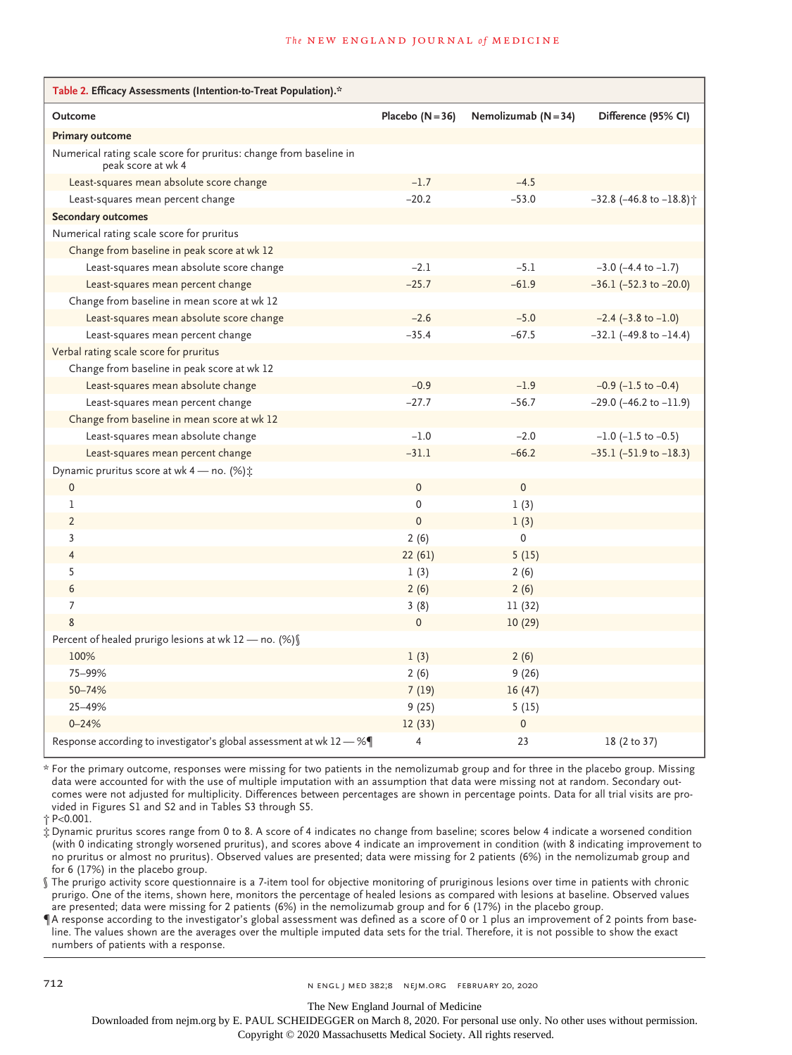| Table 2. Efficacy Assessments (Intention-to-Treat Population).*                          |                  |                      |                                          |
|------------------------------------------------------------------------------------------|------------------|----------------------|------------------------------------------|
| Outcome                                                                                  | Placebo $(N=36)$ | Nemolizumab $(N=34)$ | Difference (95% CI)                      |
| <b>Primary outcome</b>                                                                   |                  |                      |                                          |
| Numerical rating scale score for pruritus: change from baseline in<br>peak score at wk 4 |                  |                      |                                          |
| Least-squares mean absolute score change                                                 | $-1.7$           | $-4.5$               |                                          |
| Least-squares mean percent change                                                        | $-20.2$          | $-53.0$              | $-32.8$ (-46.8 to $-18.8$ ) <sup>+</sup> |
| <b>Secondary outcomes</b>                                                                |                  |                      |                                          |
| Numerical rating scale score for pruritus                                                |                  |                      |                                          |
| Change from baseline in peak score at wk 12                                              |                  |                      |                                          |
| Least-squares mean absolute score change                                                 | $-2.1$           | $-5.1$               | $-3.0$ ( $-4.4$ to $-1.7$ )              |
| Least-squares mean percent change                                                        | $-25.7$          | $-61.9$              | $-36.1$ ( $-52.3$ to $-20.0$ )           |
| Change from baseline in mean score at wk 12                                              |                  |                      |                                          |
| Least-squares mean absolute score change                                                 | $-2.6$           | $-5.0$               | $-2.4$ ( $-3.8$ to $-1.0$ )              |
| Least-squares mean percent change                                                        | $-35.4$          | $-67.5$              | $-32.1$ (-49.8 to $-14.4$ )              |
| Verbal rating scale score for pruritus                                                   |                  |                      |                                          |
| Change from baseline in peak score at wk 12                                              |                  |                      |                                          |
| Least-squares mean absolute change                                                       | $-0.9$           | $-1.9$               | $-0.9$ ( $-1.5$ to $-0.4$ )              |
| Least-squares mean percent change                                                        | $-27.7$          | $-56.7$              | $-29.0$ ( $-46.2$ to $-11.9$ )           |
| Change from baseline in mean score at wk 12                                              |                  |                      |                                          |
| Least-squares mean absolute change                                                       | $-1.0$           | $-2.0$               | $-1.0$ ( $-1.5$ to $-0.5$ )              |
| Least-squares mean percent change                                                        | $-31.1$          | $-66.2$              | $-35.1$ ( $-51.9$ to $-18.3$ )           |
| Dynamic pruritus score at wk 4 - no. (%) :                                               |                  |                      |                                          |
| $\mathbf 0$                                                                              | $\pmb{0}$        | 0                    |                                          |
| 1                                                                                        | 0                | 1(3)                 |                                          |
| $\overline{2}$                                                                           | $\mathbf 0$      | 1(3)                 |                                          |
| 3                                                                                        | 2(6)             | 0                    |                                          |
| 4                                                                                        | 22(61)           | 5(15)                |                                          |
| 5                                                                                        | 1(3)             | 2(6)                 |                                          |
| 6                                                                                        | 2(6)             | 2(6)                 |                                          |
| $\overline{7}$                                                                           | 3(8)             | 11(32)               |                                          |
| 8                                                                                        | 0                | 10(29)               |                                          |
| Percent of healed prurigo lesions at wk $12$ - no. (%) [                                 |                  |                      |                                          |
| 100%                                                                                     | 1(3)             | 2(6)                 |                                          |
| 75-99%                                                                                   | 2(6)             | 9(26)                |                                          |
| 50-74%                                                                                   | 7(19)            | 16(47)               |                                          |
| 25-49%                                                                                   | 9(25)            | 5(15)                |                                          |
| $0 - 24%$                                                                                | 12(33)           | $\mathbf 0$          |                                          |
| Response according to investigator's global assessment at wk 12 $-$ %                    | 4                | 23                   | 18 (2 to 37)                             |

\* For the primary outcome, responses were missing for two patients in the nemolizumab group and for three in the placebo group. Missing data were accounted for with the use of multiple imputation with an assumption that data were missing not at random. Secondary outcomes were not adjusted for multiplicity. Differences between percentages are shown in percentage points. Data for all trial visits are provided in Figures S1 and S2 and in Tables S3 through S5.

‡ Dynamic pruritus scores range from 0 to 8. A score of 4 indicates no change from baseline; scores below 4 indicate a worsened condition (with 0 indicating strongly worsened pruritus), and scores above 4 indicate an improvement in condition (with 8 indicating improvement to no pruritus or almost no pruritus). Observed values are presented; data were missing for 2 patients (6%) in the nemolizumab group and for 6 (17%) in the placebo group.

§ The prurigo activity score questionnaire is a 7-item tool for objective monitoring of pruriginous lesions over time in patients with chronic prurigo. One of the items, shown here, monitors the percentage of healed lesions as compared with lesions at baseline. Observed values are presented; data were missing for 2 patients (6%) in the nemolizumab group and for 6 (17%) in the placebo group.

¶ A response according to the investigator's global assessment was defined as a score of 0 or 1 plus an improvement of 2 points from baseline. The values shown are the averages over the multiple imputed data sets for the trial. Therefore, it is not possible to show the exact numbers of patients with a response.

The New England Journal of Medicine

Downloaded from nejm.org by E. PAUL SCHEIDEGGER on March 8, 2020. For personal use only. No other uses without permission.

<sup>†</sup> P<0.001.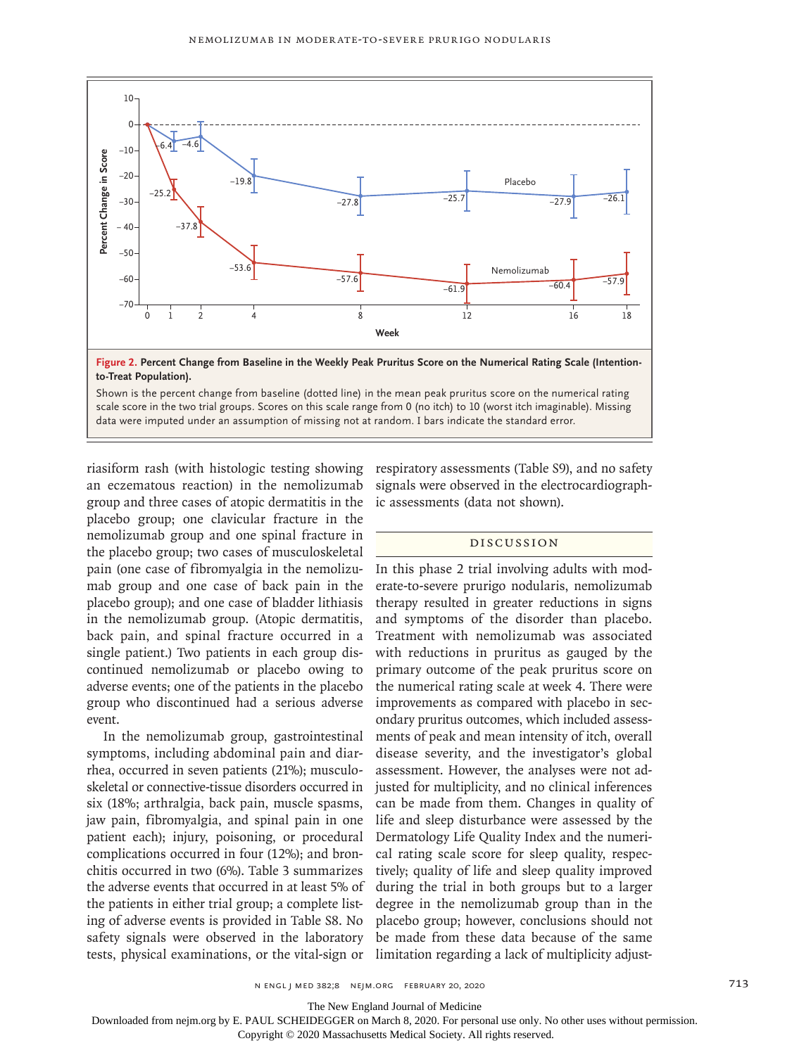

Shown is the percent change from baseline (dotted line) in the mean peak pruritus score on the numerical rating scale score in the two trial groups. Scores on this scale range from 0 (no itch) to 10 (worst itch imaginable). Missing

riasiform rash (with histologic testing showing an eczematous reaction) in the nemolizumab group and three cases of atopic dermatitis in the placebo group; one clavicular fracture in the nemolizumab group and one spinal fracture in the placebo group; two cases of musculoskeletal pain (one case of fibromyalgia in the nemolizumab group and one case of back pain in the placebo group); and one case of bladder lithiasis in the nemolizumab group. (Atopic dermatitis, back pain, and spinal fracture occurred in a single patient.) Two patients in each group discontinued nemolizumab or placebo owing to adverse events; one of the patients in the placebo group who discontinued had a serious adverse event.

In the nemolizumab group, gastrointestinal symptoms, including abdominal pain and diarrhea, occurred in seven patients (21%); musculoskeletal or connective-tissue disorders occurred in six (18%; arthralgia, back pain, muscle spasms, jaw pain, fibromyalgia, and spinal pain in one patient each); injury, poisoning, or procedural complications occurred in four (12%); and bronchitis occurred in two (6%). Table 3 summarizes the adverse events that occurred in at least 5% of the patients in either trial group; a complete listing of adverse events is provided in Table S8. No safety signals were observed in the laboratory tests, physical examinations, or the vital-sign or respiratory assessments (Table S9), and no safety signals were observed in the electrocardiographic assessments (data not shown).

# Discussion

In this phase 2 trial involving adults with moderate-to-severe prurigo nodularis, nemolizumab therapy resulted in greater reductions in signs and symptoms of the disorder than placebo. Treatment with nemolizumab was associated with reductions in pruritus as gauged by the primary outcome of the peak pruritus score on the numerical rating scale at week 4. There were improvements as compared with placebo in secondary pruritus outcomes, which included assessments of peak and mean intensity of itch, overall disease severity, and the investigator's global assessment. However, the analyses were not adjusted for multiplicity, and no clinical inferences can be made from them. Changes in quality of life and sleep disturbance were assessed by the Dermatology Life Quality Index and the numerical rating scale score for sleep quality, respectively; quality of life and sleep quality improved during the trial in both groups but to a larger degree in the nemolizumab group than in the placebo group; however, conclusions should not be made from these data because of the same limitation regarding a lack of multiplicity adjust-

The New England Journal of Medicine

Downloaded from nejm.org by E. PAUL SCHEIDEGGER on March 8, 2020. For personal use only. No other uses without permission.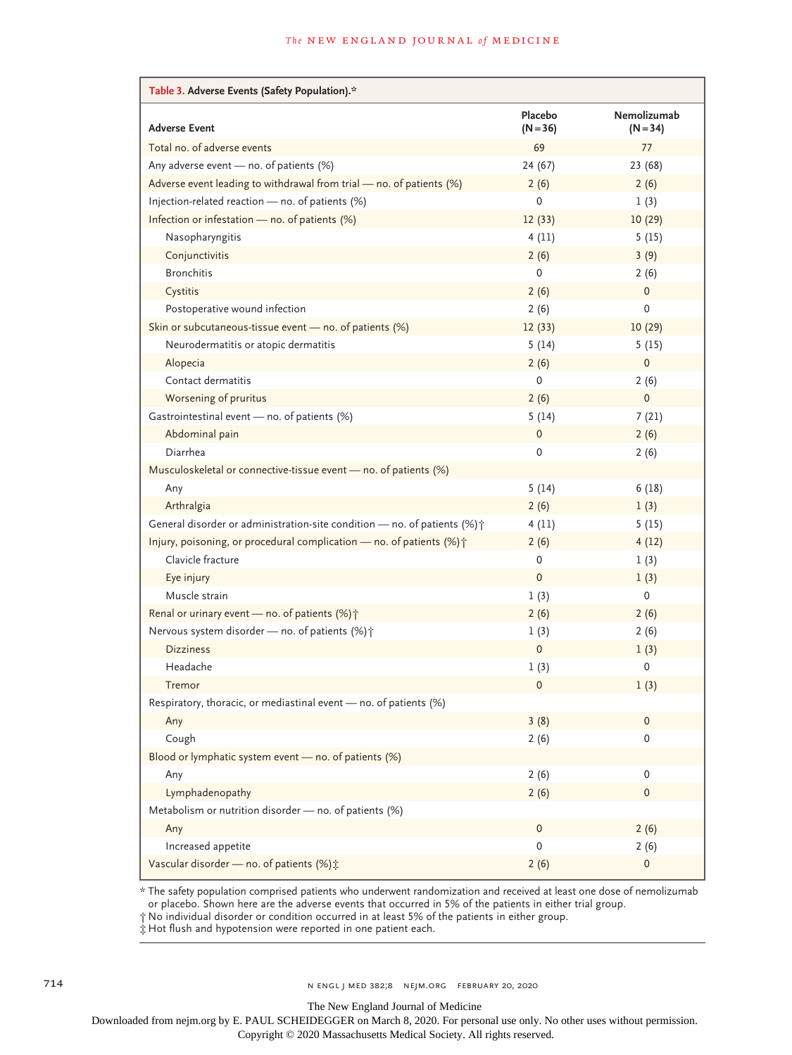| Table 3. Adverse Events (Safety Population).*                                        |                       |                           |
|--------------------------------------------------------------------------------------|-----------------------|---------------------------|
| <b>Adverse Event</b>                                                                 | Placebo<br>$(N = 36)$ | Nemolizumab<br>$(N = 34)$ |
| Total no. of adverse events                                                          | 69                    | 77                        |
| Any adverse event - no. of patients (%)                                              | 24 (67)               | 23 (68)                   |
| Adverse event leading to withdrawal from trial - no. of patients (%)                 | 2(6)                  | 2(6)                      |
| Injection-related reaction - no. of patients (%)                                     | 0                     | 1(3)                      |
| Infection or infestation - no. of patients (%)                                       | 12(33)                | 10(29)                    |
| Nasopharyngitis                                                                      | 4(11)                 | 5(15)                     |
| Conjunctivitis                                                                       | 2(6)                  | 3(9)                      |
| <b>Bronchitis</b>                                                                    | $\mathbf 0$           | 2(6)                      |
| Cystitis                                                                             | 2(6)                  | 0                         |
| Postoperative wound infection                                                        | 2(6)                  | 0                         |
| Skin or subcutaneous-tissue event - no. of patients (%)                              | 12(33)                | 10(29)                    |
| Neurodermatitis or atopic dermatitis                                                 | 5(14)                 | 5(15)                     |
| Alopecia                                                                             | 2(6)                  | 0                         |
| Contact dermatitis                                                                   | 0                     | 2(6)                      |
| Worsening of pruritus                                                                | 2(6)                  | $\mathbf 0$               |
| Gastrointestinal event - no. of patients (%)                                         | 5(14)                 | 7(21)                     |
| Abdominal pain                                                                       | $\mathbf 0$           | 2(6)                      |
| Diarrhea                                                                             | 0                     | 2(6)                      |
| Musculoskeletal or connective-tissue event - no. of patients (%)                     |                       |                           |
| Any                                                                                  | 5(14)                 | 6(18)                     |
| Arthralgia                                                                           | 2(6)                  | 1(3)                      |
| General disorder or administration-site condition - no. of patients (%) <sup>+</sup> | 4(11)                 | 5(15)                     |
| Injury, poisoning, or procedural complication - no. of patients (%) +                | 2(6)                  | 4(12)                     |
| Clavicle fracture                                                                    | 0                     | 1(3)                      |
| Eye injury                                                                           | $\mathbf{0}$          | 1(3)                      |
| Muscle strain                                                                        | 1(3)                  | 0                         |
| Renal or urinary event - no. of patients (%) $\dagger$                               | 2(6)                  | 2(6)                      |
| Nervous system disorder - no. of patients (%) +                                      | 1(3)                  | 2(6)                      |
| <b>Dizziness</b>                                                                     | $\mathbf{0}$          | 1(3)                      |
| Headache                                                                             | 1(3)                  | 0                         |
| Tremor                                                                               | 0                     | 1(3)                      |
| Respiratory, thoracic, or mediastinal event - no. of patients (%)                    |                       |                           |
| Any                                                                                  | 3(8)                  | 0                         |
| Cough                                                                                | 2(6)                  | 0                         |
| Blood or lymphatic system event - no. of patients (%)                                |                       |                           |
| Any                                                                                  | 2(6)                  | 0                         |
| Lymphadenopathy                                                                      | 2(6)                  | 0                         |
| Metabolism or nutrition disorder - no. of patients (%)                               |                       |                           |
| Any                                                                                  | $\mathbf 0$           | 2(6)                      |
| Increased appetite                                                                   | $\mathbf 0$           | 2(6)                      |
| Vascular disorder - no. of patients (%);                                             | 2(6)                  | 0                         |

\* The safety population comprised patients who underwent randomization and received at least one dose of nemolizumab or placebo. Shown here are the adverse events that occurred in 5% of the patients in either trial group.

† No individual disorder or condition occurred in at least 5% of the patients in either group.

‡ Hot flush and hypotension were reported in one patient each.

The New England Journal of Medicine

Downloaded from nejm.org by E. PAUL SCHEIDEGGER on March 8, 2020. For personal use only. No other uses without permission.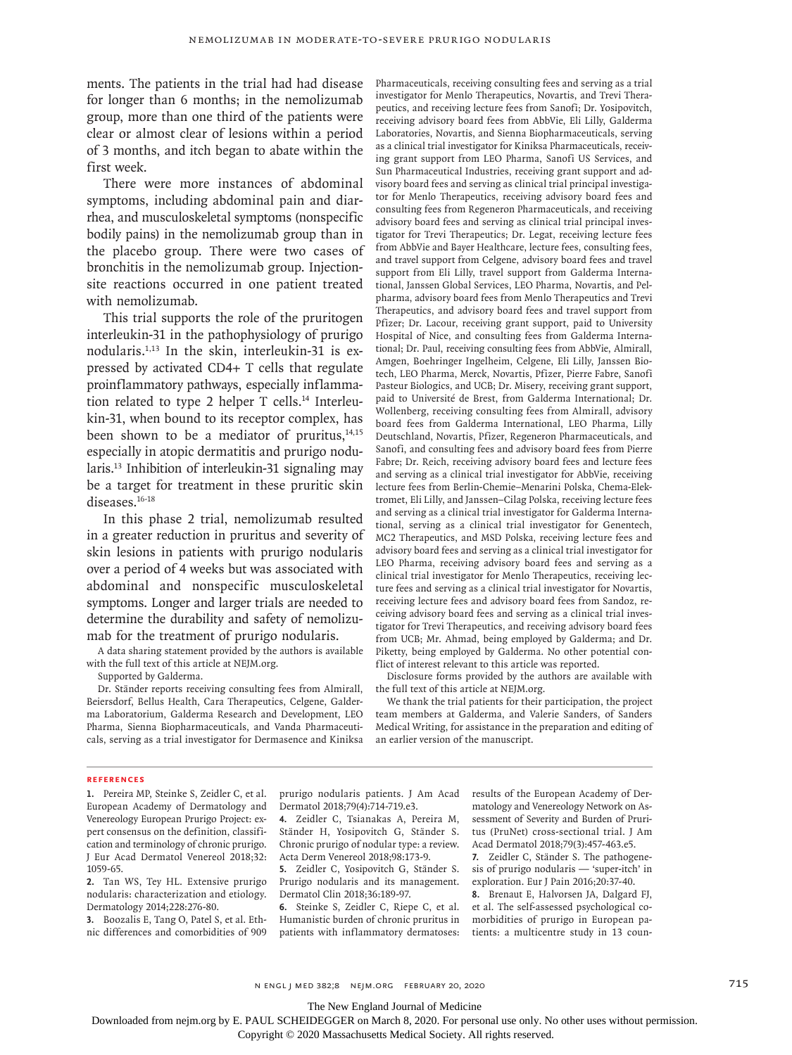ments. The patients in the trial had had disease for longer than 6 months; in the nemolizumab group, more than one third of the patients were clear or almost clear of lesions within a period of 3 months, and itch began to abate within the first week.

There were more instances of abdominal symptoms, including abdominal pain and diarrhea, and musculoskeletal symptoms (nonspecific bodily pains) in the nemolizumab group than in the placebo group. There were two cases of bronchitis in the nemolizumab group. Injectionsite reactions occurred in one patient treated with nemolizumab.

This trial supports the role of the pruritogen interleukin-31 in the pathophysiology of prurigo nodularis.1,13 In the skin, interleukin-31 is expressed by activated CD4+ T cells that regulate proinflammatory pathways, especially inflammation related to type 2 helper  $T$  cells.<sup>14</sup> Interleukin-31, when bound to its receptor complex, has been shown to be a mediator of pruritus, $14,15$ especially in atopic dermatitis and prurigo nodularis.13 Inhibition of interleukin-31 signaling may be a target for treatment in these pruritic skin diseases.<sup>16-18</sup>

In this phase 2 trial, nemolizumab resulted in a greater reduction in pruritus and severity of skin lesions in patients with prurigo nodularis over a period of 4 weeks but was associated with abdominal and nonspecific musculoskeletal symptoms. Longer and larger trials are needed to determine the durability and safety of nemolizumab for the treatment of prurigo nodularis.

A data sharing statement provided by the authors is available with the full text of this article at NEJM.org.

Supported by Galderma.

Dr. Ständer reports receiving consulting fees from Almirall, Beiersdorf, Bellus Health, Cara Therapeutics, Celgene, Galderma Laboratorium, Galderma Research and Development, LEO Pharma, Sienna Biopharmaceuticals, and Vanda Pharmaceuticals, serving as a trial investigator for Dermasence and Kiniksa Pharmaceuticals, receiving consulting fees and serving as a trial investigator for Menlo Therapeutics, Novartis, and Trevi Therapeutics, and receiving lecture fees from Sanofi; Dr. Yosipovitch, receiving advisory board fees from AbbVie, Eli Lilly, Galderma Laboratories, Novartis, and Sienna Biopharmaceuticals, serving as a clinical trial investigator for Kiniksa Pharmaceuticals, receiving grant support from LEO Pharma, Sanofi US Services, and Sun Pharmaceutical Industries, receiving grant support and advisory board fees and serving as clinical trial principal investigator for Menlo Therapeutics, receiving advisory board fees and consulting fees from Regeneron Pharmaceuticals, and receiving advisory board fees and serving as clinical trial principal investigator for Trevi Therapeutics; Dr. Legat, receiving lecture fees from AbbVie and Bayer Healthcare, lecture fees, consulting fees, and travel support from Celgene, advisory board fees and travel support from Eli Lilly, travel support from Galderma International, Janssen Global Services, LEO Pharma, Novartis, and Pelpharma, advisory board fees from Menlo Therapeutics and Trevi Therapeutics, and advisory board fees and travel support from Pfizer; Dr. Lacour, receiving grant support, paid to University Hospital of Nice, and consulting fees from Galderma International; Dr. Paul, receiving consulting fees from AbbVie, Almirall, Amgen, Boehringer Ingelheim, Celgene, Eli Lilly, Janssen Biotech, LEO Pharma, Merck, Novartis, Pfizer, Pierre Fabre, Sanofi Pasteur Biologics, and UCB; Dr. Misery, receiving grant support, paid to Université de Brest, from Galderma International; Dr. Wollenberg, receiving consulting fees from Almirall, advisory board fees from Galderma International, LEO Pharma, Lilly Deutschland, Novartis, Pfizer, Regeneron Pharmaceuticals, and Sanofi, and consulting fees and advisory board fees from Pierre Fabre; Dr. Reich, receiving advisory board fees and lecture fees and serving as a clinical trial investigator for AbbVie, receiving lecture fees from Berlin-Chemie–Menarini Polska, Chema-Elektromet, Eli Lilly, and Janssen–Cilag Polska, receiving lecture fees and serving as a clinical trial investigator for Galderma International, serving as a clinical trial investigator for Genentech, MC2 Therapeutics, and MSD Polska, receiving lecture fees and advisory board fees and serving as a clinical trial investigator for LEO Pharma, receiving advisory board fees and serving as a clinical trial investigator for Menlo Therapeutics, receiving lecture fees and serving as a clinical trial investigator for Novartis, receiving lecture fees and advisory board fees from Sandoz, receiving advisory board fees and serving as a clinical trial investigator for Trevi Therapeutics, and receiving advisory board fees from UCB; Mr. Ahmad, being employed by Galderma; and Dr. Piketty, being employed by Galderma. No other potential conflict of interest relevant to this article was reported.

Disclosure forms provided by the authors are available with the full text of this article at NEJM.org.

We thank the trial patients for their participation, the project team members at Galderma, and Valerie Sanders, of Sanders Medical Writing, for assistance in the preparation and editing of an earlier version of the manuscript.

#### **References**

**1.** Pereira MP, Steinke S, Zeidler C, et al. European Academy of Dermatology and Venereology European Prurigo Project: expert consensus on the definition, classification and terminology of chronic prurigo. J Eur Acad Dermatol Venereol 2018;32: 1059-65.

**2.** Tan WS, Tey HL. Extensive prurigo nodularis: characterization and etiology. Dermatology 2014;228:276-80.

**3.** Boozalis E, Tang O, Patel S, et al. Ethnic differences and comorbidities of 909 prurigo nodularis patients. J Am Acad Dermatol 2018;79(4):714-719.e3.

**4.** Zeidler C, Tsianakas A, Pereira M, Ständer H, Yosipovitch G, Ständer S. Chronic prurigo of nodular type: a review. Acta Derm Venereol 2018;98:173-9.

**5.** Zeidler C, Yosipovitch G, Ständer S. Prurigo nodularis and its management. Dermatol Clin 2018;36:189-97.

**6.** Steinke S, Zeidler C, Riepe C, et al. Humanistic burden of chronic pruritus in patients with inflammatory dermatoses:

results of the European Academy of Dermatology and Venereology Network on Assessment of Severity and Burden of Pruritus (PruNet) cross-sectional trial. J Am Acad Dermatol 2018;79(3):457-463.e5.

**7.** Zeidler C, Ständer S. The pathogenesis of prurigo nodularis — 'super-itch' in exploration. Eur J Pain 2016;20:37-40.

**8.** Brenaut E, Halvorsen JA, Dalgard FJ, et al. The self-assessed psychological comorbidities of prurigo in European patients: a multicentre study in 13 coun-

n engl j med 382;8 nejm.org February 20, 2020 715

The New England Journal of Medicine

Downloaded from nejm.org by E. PAUL SCHEIDEGGER on March 8, 2020. For personal use only. No other uses without permission.